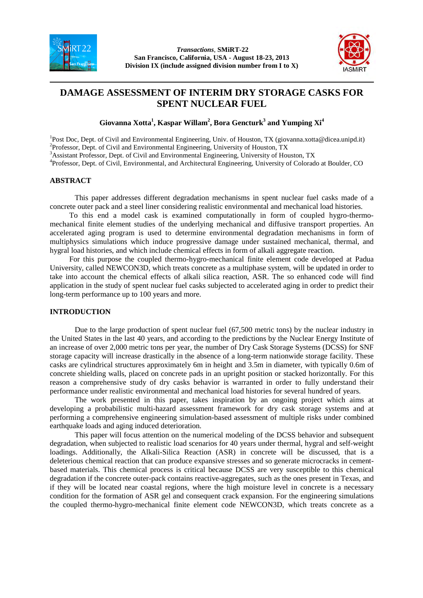



# **DAMAGE ASSESSMENT OF INTERIM DRY STORAGE CASKS FOR SPENT NUCLEAR FUEL**

**Giovanna Xotta<sup>1</sup> , Kaspar Willam<sup>2</sup> , Bora Gencturk<sup>3</sup> and Yumping Xi<sup>4</sup>**

<sup>1</sup>Post Doc, Dept. of Civil and Environmental Engineering, Univ. of Houston, TX (giovanna.xotta@dicea.unipd.it) <sup>2</sup>Professor, Dept. of Civil and Environmental Engineering, University of Houston, TX

<sup>3</sup>Assistant Professor, Dept. of Civil and Environmental Engineering, University of Houston, TX

<sup>4</sup>Professor, Dept. of Civil, Environmental, and Architectural Engineering, University of Colorado at Boulder, CO

# **ABSTRACT**

This paper addresses different degradation mechanisms in spent nuclear fuel casks made of a concrete outer pack and a steel liner considering realistic environmental and mechanical load histories.

To this end a model cask is examined computationally in form of coupled hygro-thermomechanical finite element studies of the underlying mechanical and diffusive transport properties. An accelerated aging program is used to determine environmental degradation mechanisms in form of multiphysics simulations which induce progressive damage under sustained mechanical, thermal, and hygral load histories, and which include chemical effects in form of alkali aggregate reaction.

For this purpose the coupled thermo-hygro-mechanical finite element code developed at Padua University, called NEWCON3D, which treats concrete as a multiphase system, will be updated in order to take into account the chemical effects of alkali silica reaction, ASR. The so enhanced code will find application in the study of spent nuclear fuel casks subjected to accelerated aging in order to predict their long-term performance up to 100 years and more.

# **INTRODUCTION**

Due to the large production of spent nuclear fuel (67,500 metric tons) by the nuclear industry in the United States in the last 40 years, and according to the predictions by the Nuclear Energy Institute of an increase of over 2,000 metric tons per year, the number of Dry Cask Storage Systems (DCSS) for SNF storage capacity will increase drastically in the absence of a long-term nationwide storage facility. These casks are cylindrical structures approximately 6m in height and 3.5m in diameter, with typically 0.6m of concrete shielding walls, placed on concrete pads in an upright position or stacked horizontally. For this reason a comprehensive study of dry casks behavior is warranted in order to fully understand their performance under realistic environmental and mechanical load histories for several hundred of years.

The work presented in this paper, takes inspiration by an ongoing project which aims at developing a probabilistic multi-hazard assessment framework for dry cask storage systems and at performing a comprehensive engineering simulation-based assessment of multiple risks under combined earthquake loads and aging induced deterioration.

This paper will focus attention on the numerical modeling of the DCSS behavior and subsequent degradation, when subjected to realistic load scenarios for 40 years under thermal, hygral and self-weight loadings. Additionally, the Alkali-Silica Reaction (ASR) in concrete will be discussed, that is a deleterious chemical reaction that can produce expansive stresses and so generate microcracks in cementbased materials. This chemical process is critical because DCSS are very susceptible to this chemical degradation if the concrete outer-pack contains reactive-aggregates, such as the ones present in Texas, and if they will be located near coastal regions, where the high moisture level in concrete is a necessary condition for the formation of ASR gel and consequent crack expansion. For the engineering simulations the coupled thermo-hygro-mechanical finite element code NEWCON3D, which treats concrete as a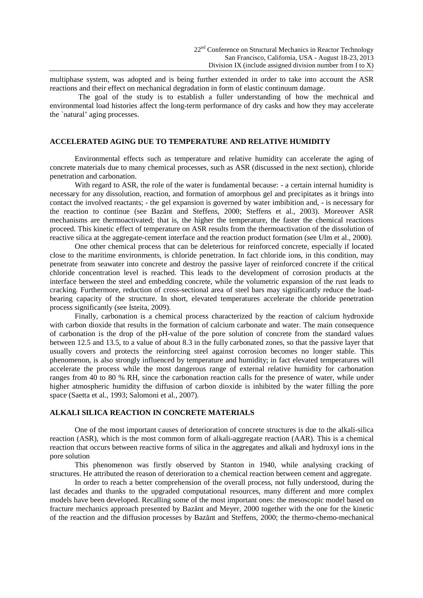multiphase system, was adopted and is being further extended in order to take into account the ASR reactions and their effect on mechanical degradation in form of elastic continuum damage.

 The goal of the study is to establish a fuller understanding of how the mechnical and environmental load histories affect the long-term performance of dry casks and how they may accelerate the `natural' aging processes.

# **ACCELERATED AGING DUE TO TEMPERATURE AND RELATIVE HUMIDITY**

Environmental effects such as temperature and relative humidity can accelerate the aging of concrete materials due to many chemical processes, such as ASR (discussed in the next section), chloride penetration and carbonation.

With regard to ASR, the role of the water is fundamental because: - a certain internal humidity is necessary for any dissolution, reaction, and formation of amorphous gel and precipitates as it brings into contact the involved reactants; - the gel expansion is governed by water imbibition and, - is necessary for the reaction to continue (see Bazănt and Steffens, 2000; Steffens et al., 2003). Moreover ASR mechanisms are thermoactivated; that is, the higher the temperature, the faster the chemical reactions proceed. This kinetic effect of temperature on ASR results from the thermoactivation of the dissolution of reactive silica at the aggregate-cement interface and the reaction product formation (see Ulm et al., 2000).

One other chemical process that can be deleterious for reinforced concrete, especially if located close to the maritime environments, is chloride penetration. In fact chloride ions, in this condition, may penetrate from seawater into concrete and destroy the passive layer of reinforced concrete if the critical chloride concentration level is reached. This leads to the development of corrosion products at the interface between the steel and embedding concrete, while the volumetric expansion of the rust leads to cracking. Furthermore, reduction of cross-sectional area of steel bars may significantly reduce the loadbearing capacity of the structure. In short, elevated temperatures accelerate the chloride penetration process significantly (see Isteita, 2009).

Finally, carbonation is a chemical process characterized by the reaction of calcium hydroxide with carbon dioxide that results in the formation of calcium carbonate and water. The main consequence of carbonation is the drop of the pH-value of the pore solution of concrete from the standard values between 12.5 and 13.5, to a value of about 8.3 in the fully carbonated zones, so that the passive layer that usually covers and protects the reinforcing steel against corrosion becomes no longer stable. This phenomenon, is also strongly influenced by temperature and humidity; in fact elevated temperatures will accelerate the process while the most dangerous range of external relative humidity for carbonation ranges from 40 to 80 % RH, since the carbonation reaction calls for the presence of water, while under higher atmospheric humidity the diffusion of carbon dioxide is inhibited by the water filling the pore space (Saetta et al., 1993; Salomoni et al., 2007).

# **ALKALI SILICA REACTION IN CONCRETE MATERIALS**

One of the most important causes of deterioration of concrete structures is due to the alkali-silica reaction (ASR), which is the most common form of alkali-aggregate reaction (AAR). This is a chemical reaction that occurs between reactive forms of silica in the aggregates and alkali and hydroxyl ions in the pore solution

This phenomenon was firstly observed by Stanton in 1940, while analysing cracking of structures. He attributed the reason of deterioration to a chemical reaction between cement and aggregate.

In order to reach a better comprehension of the overall process, not fully understood, during the last decades and thanks to the upgraded computational resources, many different and more complex models have been developed. Recalling some of the most important ones: the mesoscopic model based on fracture mechanics approach presented by Bazănt and Meyer, 2000 together with the one for the kinetic of the reaction and the diffusion processes by Bazănt and Steffens, 2000; the thermo-chemo-mechanical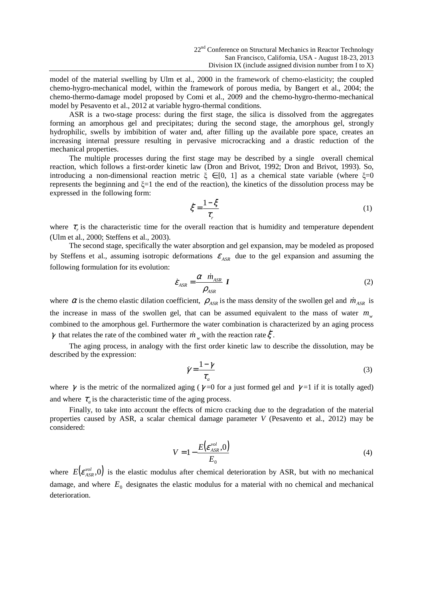model of the material swelling by Ulm et al., 2000 in the framework of chemo-elasticity; the coupled chemo-hygro-mechanical model, within the framework of porous media, by Bangert et al., 2004; the chemo-thermo-damage model proposed by Comi et al., 2009 and the chemo-hygro-thermo-mechanical model by Pesavento et al., 2012 at variable hygro-thermal conditions.

 ASR is a two-stage process: during the first stage, the silica is dissolved from the aggregates forming an amorphous gel and precipitates; during the second stage, the amorphous gel, strongly hydrophilic, swells by imbibition of water and, after filling up the available pore space, creates an increasing internal pressure resulting in pervasive microcracking and a drastic reduction of the mechanical properties.

 The multiple processes during the first stage may be described by a single overall chemical reaction, which follows a first-order kinetic law (Dron and Brivot, 1992; Dron and Brivot, 1993). So, introducing a non-dimensional reaction metric  $\xi \in [0, 1]$  as a chemical state variable (where  $\xi = 0$ represents the beginning and  $\xi=1$  the end of the reaction), the kinetics of the dissolution process may be expressed in the following form:

$$
\dot{\xi} = \frac{1 - \xi}{\tau_r} \tag{1}
$$

where  $\tau$ <sub>r</sub> is the characteristic time for the overall reaction that is humidity and temperature dependent (Ulm et al., 2000; Steffens et al., 2003).

 The second stage, specifically the water absorption and gel expansion, may be modeled as proposed by Steffens et al., assuming isotropic deformations  $\varepsilon_{ASR}$  due to the gel expansion and assuming the following formulation for its evolution:

$$
\dot{\mathcal{E}}_{ASR} = \frac{\alpha \dot{m}_{ASR}}{\rho_{ASR}} I
$$
 (2)

where  $\alpha$  is the chemo elastic dilation coefficient,  $\rho_{ASR}$  is the mass density of the swollen gel and  $\dot{m}_{ASR}$  is the increase in mass of the swollen gel, that can be assumed equivalent to the mass of water  $m_w$ combined to the amorphous gel. Furthermore the water combination is characterized by an aging process γ that relates the rate of the combined water  $\dot{m}_w$  with the reaction rate  $\dot{\xi}$ .

 The aging process, in analogy with the first order kinetic law to describe the dissolution, may be described by the expression:

$$
\dot{\gamma} = \frac{1 - \gamma}{\tau_a} \tag{3}
$$

where  $\gamma$  is the metric of the normalized aging ( $\gamma$ =0 for a just formed gel and  $\gamma$ =1 if it is totally aged) and where  $\tau_a$  is the characteristic time of the aging process.

 Finally, to take into account the effects of micro cracking due to the degradation of the material properties caused by ASR, a scalar chemical damage parameter *V* (Pesavento et al., 2012) may be considered:

$$
V = 1 - \frac{E\left(\mathcal{E}_{ASR}^{vol}, 0\right)}{E_0} \tag{4}
$$

where  $E(e_{ASR}^{vol},0)$  is the elastic modulus after chemical deterioration by ASR, but with no mechanical damage, and where  $E_0$  designates the elastic modulus for a material with no chemical and mechanical deterioration.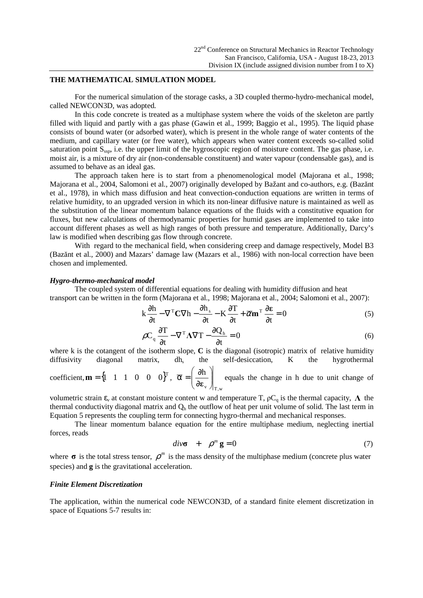### **THE MATHEMATICAL SIMULATION MODEL**

For the numerical simulation of the storage casks, a 3D coupled thermo-hydro-mechanical model, called NEWCON3D, was adopted.

In this code concrete is treated as a multiphase system where the voids of the skeleton are partly filled with liquid and partly with a gas phase (Gawin et al., 1999; Baggio et al., 1995). The liquid phase consists of bound water (or adsorbed water), which is present in the whole range of water contents of the medium, and capillary water (or free water), which appears when water content exceeds so-called solid saturation point S<sub>ssp</sub>, i.e. the upper limit of the hygroscopic region of moisture content. The gas phase, i.e. moist air, is a mixture of dry air (non-condensable constituent) and water vapour (condensable gas), and is assumed to behave as an ideal gas.

The approach taken here is to start from a phenomenological model (Majorana et al., 1998; Majorana et al., 2004, Salomoni et al., 2007) originally developed by Bažant and co-authors, e.g. (Bazănt et al., 1978), in which mass diffusion and heat convection-conduction equations are written in terms of relative humidity, to an upgraded version in which its non-linear diffusive nature is maintained as well as the substitution of the linear momentum balance equations of the fluids with a constitutive equation for fluxes, but new calculations of thermodynamic properties for humid gases are implemented to take into account different phases as well as high ranges of both pressure and temperature. Additionally, Darcy's law is modified when describing gas flow through concrete.

With regard to the mechanical field, when considering creep and damage respectively, Model B3 (Bazănt et al., 2000) and Mazars' damage law (Mazars et al., 1986) with non-local correction have been chosen and implemented.

#### *Hygro-thermo-mechanical model*

The coupled system of differential equations for dealing with humidity diffusion and heat transport can be written in the form (Majorana et al., 1998; Majorana et al., 2004; Salomoni et al., 2007):

$$
k\frac{\partial h}{\partial t} - \nabla^{T} C \nabla h - \frac{\partial h_{s}}{\partial t} - K \frac{\partial T}{\partial t} + \overline{\alpha} m^{T} \frac{\partial \varepsilon}{\partial t} = 0
$$
 (5)

$$
\rho C_q \frac{\partial T}{\partial t} - \nabla^T \Lambda \nabla T - \frac{\partial Q_h}{\partial t} = 0
$$
\n(6)

where k is the cotangent of the isotherm slope, C is the diagonal (isotropic) matrix of relative humidity diffusivity diagonal matrix, dh, the self-desiccation, K the hygrothermal

coefficient,  ${\bf m} = \begin{cases} 1 & 1 & 1 & 0 & 0 & 0 \end{cases}^T$ , v  $\left/\right|_{\rm T,w}$ h  $\overline{\phantom{a}}$ J  $\backslash$  $\overline{\phantom{a}}$ l ſ ∂  $\overline{\alpha} = \left(\frac{\partial h}{\partial \varepsilon}\right)$  equals the change in h due to unit change of

volumetric strain  $\varepsilon_v$  at constant moisture content w and temperature T,  $\rho C_q$  is the thermal capacity,  $\Lambda$  the thermal conductivity diagonal matrix and  $Q<sub>h</sub>$  the outflow of heat per unit volume of solid. The last term in Equation 5 represents the coupling term for connecting hygro-thermal and mechanical responses.

The linear momentum balance equation for the entire multiphase medium, neglecting inertial forces, reads

$$
div\sigma + \rho^m \mathbf{g} = 0 \tag{7}
$$

where  $\sigma$  is the total stress tensor,  $\rho^m$  is the mass density of the multiphase medium (concrete plus water species) and **g** is the gravitational acceleration.

### *Finite Element Discretization*

The application, within the numerical code NEWCON3D, of a standard finite element discretization in space of Equations 5-7 results in: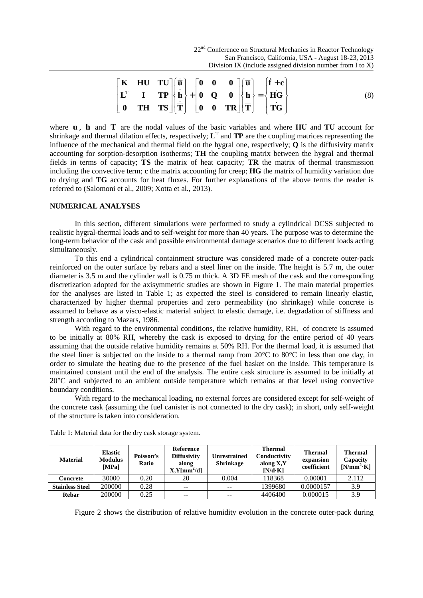|  |                                                                                                                                                                                                                                                                                                                                                                                                                                                                                                       |  |  |  | (8) |
|--|-------------------------------------------------------------------------------------------------------------------------------------------------------------------------------------------------------------------------------------------------------------------------------------------------------------------------------------------------------------------------------------------------------------------------------------------------------------------------------------------------------|--|--|--|-----|
|  | $\begin{bmatrix} \mathbf{K} & \mathbf{HU} & \mathbf{T}U \\ \mathbf{L}^T & \mathbf{I} & \mathbf{TP} \\ \mathbf{0} & \mathbf{T}H & \mathbf{TS} \end{bmatrix} \begin{bmatrix} \dot{\overline{\mathbf{u}}} \\ \dot{\overline{\mathbf{h}}} \\ \dot{\overline{\mathbf{T}}} \end{bmatrix} + \begin{bmatrix} \mathbf{0} & \mathbf{0} & \mathbf{0} \\ \mathbf{0} & \mathbf{Q} & \mathbf{0} \\ \mathbf{0} & \mathbf{0} & \mathbf{TR} \end{bmatrix} \begin{bmatrix} \overline{\mathbf{u}} \\ \overline{\mathbf{$ |  |  |  |     |

where  $\overline{u}$ ,  $\overline{h}$  and  $\overline{T}$  are the nodal values of the basic variables and where **HU** and **TU** account for shrinkage and thermal dilation effects, respectively;  $L<sup>T</sup>$  and **TP** are the coupling matrices representing the influence of the mechanical and thermal field on the hygral one, respectively; **Q** is the diffusivity matrix accounting for sorption-desorption isotherms; **TH** the coupling matrix between the hygral and thermal fields in terms of capacity; **TS** the matrix of heat capacity; **TR** the matrix of thermal transmission including the convective term; **c** the matrix accounting for creep; **HG** the matrix of humidity variation due to drying and **TG** accounts for heat fluxes. For further explanations of the above terms the reader is referred to (Salomoni et al., 2009; Xotta et al., 2013).

# **NUMERICAL ANALYSES**

In this section, different simulations were performed to study a cylindrical DCSS subjected to realistic hygral-thermal loads and to self-weight for more than 40 years. The purpose was to determine the long-term behavior of the cask and possible environmental damage scenarios due to different loads acting simultaneously.

To this end a cylindrical containment structure was considered made of a concrete outer-pack reinforced on the outer surface by rebars and a steel liner on the inside. The height is 5.7 m, the outer diameter is 3.5 m and the cylinder wall is 0.75 m thick. A 3D FE mesh of the cask and the corresponding discretization adopted for the axisymmetric studies are shown in Figure 1. The main material properties for the analyses are listed in Table 1; as expected the steel is considered to remain linearly elastic, characterized by higher thermal properties and zero permeability (no shrinkage) while concrete is assumed to behave as a visco-elastic material subject to elastic damage, i.e. degradation of stiffness and strength according to Mazars, 1986.

With regard to the environmental conditions, the relative humidity, RH, of concrete is assumed to be initially at 80% RH, whereby the cask is exposed to drying for the entire period of 40 years assuming that the outside relative humidity remains at 50% RH. For the thermal load, it is assumed that the steel liner is subjected on the inside to a thermal ramp from 20°C to 80°C in less than one day, in order to simulate the heating due to the presence of the fuel basket on the inside. This temperature is maintained constant until the end of the analysis. The entire cask structure is assumed to be initially at 20°C and subjected to an ambient outside temperature which remains at that level using convective boundary conditions.

With regard to the mechanical loading, no external forces are considered except for self-weight of the concrete cask (assuming the fuel canister is not connected to the dry cask); in short, only self-weight of the structure is taken into consideration.

| <b>Material</b>        | <b>Elastic</b><br><b>Modulus</b><br>[MPa] | Poisson's<br>Ratio | Reference<br><b>Diffusivity</b><br>along<br>$X,Y/mm^2/d$ | Unrestrained<br><b>Shrinkage</b> | <b>Thermal</b><br>Conductivity<br>along X,Y<br>$[N/d \cdot K]$ | <b>Thermal</b><br>expansion<br>coefficient | <b>Thermal</b><br>Capacity<br>$[N/mm^2 K]$ |
|------------------------|-------------------------------------------|--------------------|----------------------------------------------------------|----------------------------------|----------------------------------------------------------------|--------------------------------------------|--------------------------------------------|
| Concrete               | 30000                                     | 0.20               | 20                                                       | 0.004                            | 118368                                                         | 0.00001                                    | 2.112                                      |
| <b>Stainless Steel</b> | 200000                                    | 0.28               | $- -$                                                    | $-$                              | 1399680                                                        | 0.0000157                                  | 3.9                                        |
| Rebar                  | 200000                                    | 0.25               | $- -$                                                    | $-$                              | 4406400                                                        | 0.000015                                   | 3.9                                        |

Table 1: Material data for the dry cask storage system.

Figure 2 shows the distribution of relative humidity evolution in the concrete outer-pack during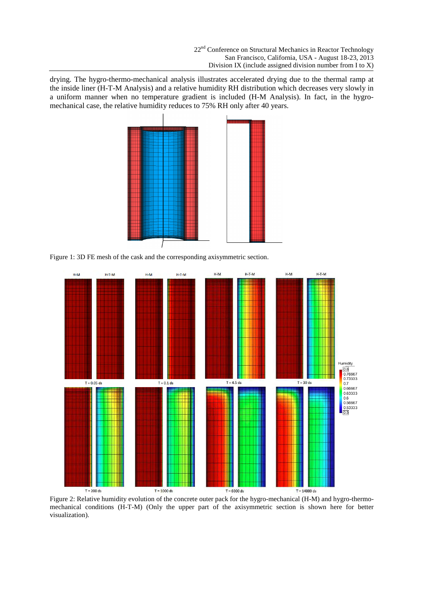drying. The hygro-thermo-mechanical analysis illustrates accelerated drying due to the thermal ramp at the inside liner (H-T-M Analysis) and a relative humidity RH distribution which decreases very slowly in a uniform manner when no temperature gradient is included (H-M Analysis). In fact, in the hygromechanical case, the relative humidity reduces to 75% RH only after 40 years.



Figure 1: 3D FE mesh of the cask and the corresponding axisymmetric section.



Figure 2: Relative humidity evolution of the concrete outer pack for the hygro-mechanical (H-M) and hygro-thermomechanical conditions (H-T-M) (Only the upper part of the axisymmetric section is shown here for better visualization).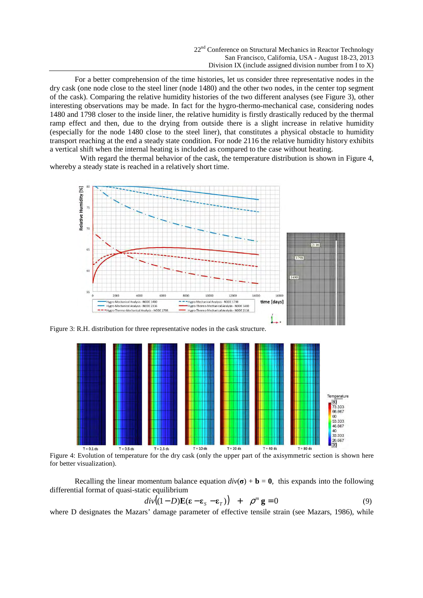For a better comprehension of the time histories, let us consider three representative nodes in the dry cask (one node close to the steel liner (node 1480) and the other two nodes, in the center top segment of the cask). Comparing the relative humidity histories of the two different analyses (see Figure 3), other interesting observations may be made. In fact for the hygro-thermo-mechanical case, considering nodes 1480 and 1798 closer to the inside liner, the relative humidity is firstly drastically reduced by the thermal ramp effect and then, due to the drying from outside there is a slight increase in relative humidity (especially for the node 1480 close to the steel liner), that constitutes a physical obstacle to humidity transport reaching at the end a steady state condition. For node 2116 the relative humidity history exhibits a vertical shift when the internal heating is included as compared to the case without heating.

With regard the thermal behavior of the cask, the temperature distribution is shown in Figure 4, whereby a steady state is reached in a relatively short time.



Figure 3: R.H. distribution for three representative nodes in the cask structure.



Figure 4: Evolution of temperature for the dry cask (only the upper part of the axisymmetric section is shown here for better visualization).

Recalling the linear momentum balance equation  $div(\sigma) + \mathbf{b} = \mathbf{0}$ , this expands into the following differential format of quasi-static equilibrium

$$
div((1-D)\mathbf{E}(\mathbf{\varepsilon}-\mathbf{\varepsilon}_s-\mathbf{\varepsilon}_T)) + \rho^m \mathbf{g} = 0 \tag{9}
$$

where D designates the Mazars' damage parameter of effective tensile strain (see Mazars, 1986), while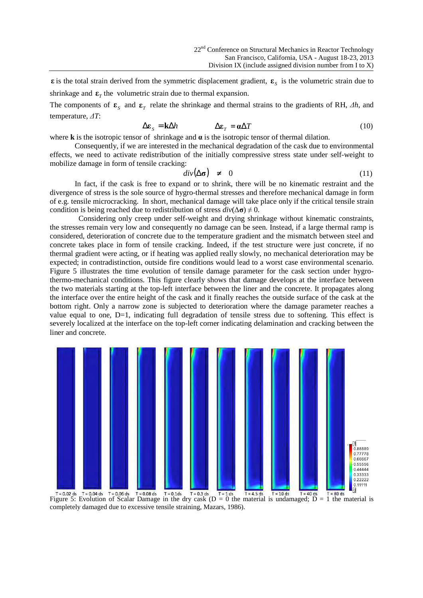**ε** is the total strain derived from the symmetric displacement gradient,  $\mathbf{\varepsilon}_{s}$  is the volumetric strain due to shrinkage and  $\epsilon$ <sub>*T*</sub> the volumetric strain due to thermal expansion.

The components of  $\mathbf{\varepsilon}_{s}$  and  $\mathbf{\varepsilon}_{r}$  relate the shrinkage and thermal strains to the gradients of RH,  $\Delta h$ , and temperature, *ΔT*:

$$
\Delta \varepsilon_{S} = \mathbf{k} \Delta h \qquad \qquad \Delta \varepsilon_{T} = \mathbf{a} \Delta T \qquad (10)
$$

where **k** is the isotropic tensor of shrinkage and  $\alpha$  is the isotropic tensor of thermal dilation.

Consequently, if we are interested in the mechanical degradation of the cask due to environmental effects, we need to activate redistribution of the initially compressive stress state under self-weight to mobilize damage in form of tensile cracking:

$$
div(\Delta \sigma) \neq 0 \tag{11}
$$

In fact, if the cask is free to expand or to shrink, there will be no kinematic restraint and the divergence of stress is the sole source of hygro-thermal stresses and therefore mechanical damage in form of e.g. tensile microcracking. In short, mechanical damage will take place only if the critical tensile strain condition is being reached due to redistribution of stress  $div(\Delta \sigma) \neq 0$ .

 Considering only creep under self-weight and drying shrinkage without kinematic constraints, the stresses remain very low and consequently no damage can be seen. Instead, if a large thermal ramp is considered, deterioration of concrete due to the temperature gradient and the mismatch between steel and concrete takes place in form of tensile cracking. Indeed, if the test structure were just concrete, if no thermal gradient were acting, or if heating was applied really slowly, no mechanical deterioration may be expected; in contradistinction, outside fire conditions would lead to a worst case environmental scenario. Figure 5 illustrates the time evolution of tensile damage parameter for the cask section under hygrothermo-mechanical conditions. This figure clearly shows that damage develops at the interface between the two materials starting at the top-left interface between the liner and the concrete. It propagates along the interface over the entire height of the cask and it finally reaches the outside surface of the cask at the bottom right. Only a narrow zone is subjected to deterioration where the damage parameter reaches a value equal to one, D=1, indicating full degradation of tensile stress due to softening. This effect is severely localized at the interface on the top-left corner indicating delamination and cracking between the liner and concrete.



 $T = 0.02$  ds  $T = 0.04$  ds  $T = 0.06$  ds  $T = 0.08$  ds  $T = 0.1$  ds  $T = 0.3$  ds  $T = 1$  ds  $T = 45$  ds  $T = 10$  ds  $T = 40$  ds  $T = 80$  ds  $T = 80$  ds  $T = 10$  ds  $T = 10$  ds  $T = 40$  ds  $T = 10$  ds  $T = 10$  ds  $T = 10$  ds  $T = 10$  ds  $T =$ completely damaged due to excessive tensile straining, Mazars, 1986).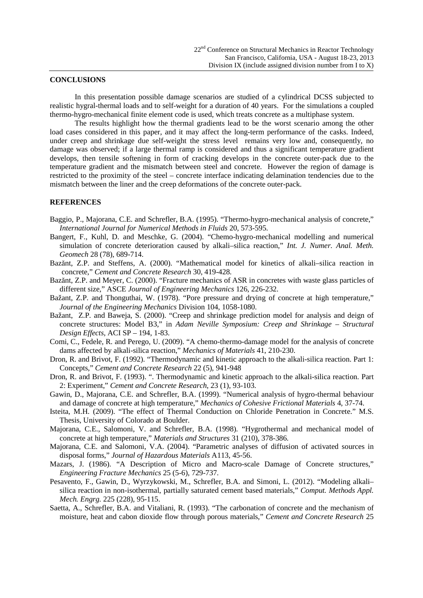# **CONCLUSIONS**

In this presentation possible damage scenarios are studied of a cylindrical DCSS subjected to realistic hygral-thermal loads and to self-weight for a duration of 40 years. For the simulations a coupled thermo-hygro-mechanical finite element code is used, which treats concrete as a multiphase system.

The results highlight how the thermal gradients lead to be the worst scenario among the other load cases considered in this paper, and it may affect the long-term performance of the casks. Indeed, under creep and shrinkage due self-weight the stress level remains very low and, consequently, no damage was observed; if a large thermal ramp is considered and thus a significant temperature gradient develops, then tensile softening in form of cracking develops in the concrete outer-pack due to the temperature gradient and the mismatch between steel and concrete. However the region of damage is restricted to the proximity of the steel – concrete interface indicating delamination tendencies due to the mismatch between the liner and the creep deformations of the concrete outer-pack.

# **REFERENCES**

- Baggio, P., Majorana, C.E. and Schrefler, B.A. (1995). "Thermo-hygro-mechanical analysis of concrete," *International Journal for Numerical Methods in Fluids* 20, 573-595.
- Bangert, F., Kuhl, D. and Meschke, G. (2004). "Chemo-hygro-mechanical modelling and numerical simulation of concrete deterioration caused by alkali–silica reaction," *Int. J. Numer. Anal. Meth. Geomech* 28 (78), 689-714.
- Bazănt, Z.P. and Steffens, A. (2000). "Mathematical model for kinetics of alkali–silica reaction in concrete," *Cement and Concrete Research* 30, 419-428.
- Bazănt, Z.P. and Meyer, C. (2000). "Fracture mechanics of ASR in concretes with waste glass particles of different size," ASCE *Journal of Engineering Mechanics* 126, 226-232.
- Bažant, Z.P. and Thonguthai, W. (1978). "Pore pressure and drying of concrete at high temperature," *Journal of the Engineering Mechanics* Division 104, 1058-1080.
- Bažant, Z.P. and Baweja, S. (2000). "Creep and shrinkage prediction model for analysis and deign of concrete structures: Model B3," in *Adam Neville Symposium: Creep and Shrinkage – Structural Design Effects*, ACI SP – 194, 1-83.
- Comi, C., Fedele, R. and Perego, U. (2009). "A chemo-thermo-damage model for the analysis of concrete dams affected by alkali-silica reaction," *Mechanics of Materials* 41, 210-230.
- Dron, R. and Brivot, F. (1992). "Thermodynamic and kinetic approach to the alkali-silica reaction. Part 1: Concepts," *Cement and Concrete Research* 22 (5), 941-948
- Dron, R. and Brivot, F. (1993). ". Thermodynamic and kinetic approach to the alkali-silica reaction. Part 2: Experiment," *Cement and Concrete Research*, 23 (1), 93-103.
- Gawin, D., Majorana, C.E. and Schrefler, B.A. (1999). "Numerical analysis of hygro-thermal behaviour and damage of concrete at high temperature," *Mechanics of Cohesive Frictional Materials* 4, 37-74.
- Isteita, M.H. (2009). "The effect of Thermal Conduction on Chloride Penetration in Concrete." M.S. Thesis, University of Colorado at Boulder.
- Majorana, C.E., Salomoni, V. and Schrefler, B.A. (1998). "Hygrothermal and mechanical model of concrete at high temperature," *Materials and Structures* 31 (210), 378-386.
- Majorana, C.E. and Salomoni, V.A. (2004). "Parametric analyses of diffusion of activated sources in disposal forms," *Journal of Hazardous Materials* A113, 45-56.
- Mazars, J. (1986). "A Description of Micro and Macro-scale Damage of Concrete structures," *Engineering Fracture Mechanics* 25 (5-6), 729-737.
- Pesavento, F., Gawin, D., Wyrzykowski, M., Schrefler, B.A. and Simoni, L. (2012). "Modeling alkali– silica reaction in non-isothermal, partially saturated cement based materials," *Comput. Methods Appl. Mech. Engrg.* 225 (228), 95-115.
- Saetta, A., Schrefler, B.A. and Vitaliani, R. (1993). "The carbonation of concrete and the mechanism of moisture, heat and cabon dioxide flow through porous materials," *Cement and Concrete Research* 25